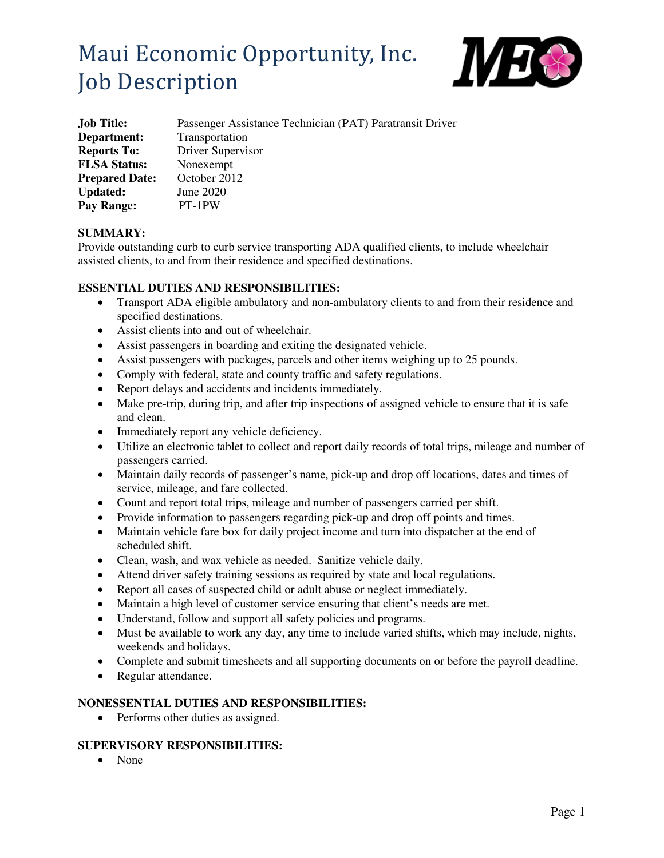# Maui Economic Opportunity, Inc. Job Description



| <b>Job Title:</b>     | Passenger Assistance Technician (PAT) Paratransit Driver |
|-----------------------|----------------------------------------------------------|
| Department:           | Transportation                                           |
| <b>Reports To:</b>    | Driver Supervisor                                        |
| <b>FLSA Status:</b>   | Nonexempt                                                |
| <b>Prepared Date:</b> | October 2012                                             |
| <b>Updated:</b>       | June 2020                                                |
| <b>Pay Range:</b>     | PT-1PW                                                   |

### **SUMMARY:**

Provide outstanding curb to curb service transporting ADA qualified clients, to include wheelchair assisted clients, to and from their residence and specified destinations.

#### **ESSENTIAL DUTIES AND RESPONSIBILITIES:**

- Transport ADA eligible ambulatory and non-ambulatory clients to and from their residence and specified destinations.
- Assist clients into and out of wheelchair.
- Assist passengers in boarding and exiting the designated vehicle.
- Assist passengers with packages, parcels and other items weighing up to 25 pounds.
- Comply with federal, state and county traffic and safety regulations.
- Report delays and accidents and incidents immediately.
- Make pre-trip, during trip, and after trip inspections of assigned vehicle to ensure that it is safe and clean.
- Immediately report any vehicle deficiency.
- Utilize an electronic tablet to collect and report daily records of total trips, mileage and number of passengers carried.
- Maintain daily records of passenger's name, pick-up and drop off locations, dates and times of service, mileage, and fare collected.
- Count and report total trips, mileage and number of passengers carried per shift.
- Provide information to passengers regarding pick-up and drop off points and times.
- Maintain vehicle fare box for daily project income and turn into dispatcher at the end of scheduled shift.
- Clean, wash, and wax vehicle as needed. Sanitize vehicle daily.
- Attend driver safety training sessions as required by state and local regulations.
- Report all cases of suspected child or adult abuse or neglect immediately.
- Maintain a high level of customer service ensuring that client's needs are met.
- Understand, follow and support all safety policies and programs.
- Must be available to work any day, any time to include varied shifts, which may include, nights, weekends and holidays.
- Complete and submit timesheets and all supporting documents on or before the payroll deadline.
- Regular attendance.

#### **NONESSENTIAL DUTIES AND RESPONSIBILITIES:**

• Performs other duties as assigned.

# **SUPERVISORY RESPONSIBILITIES:**

• None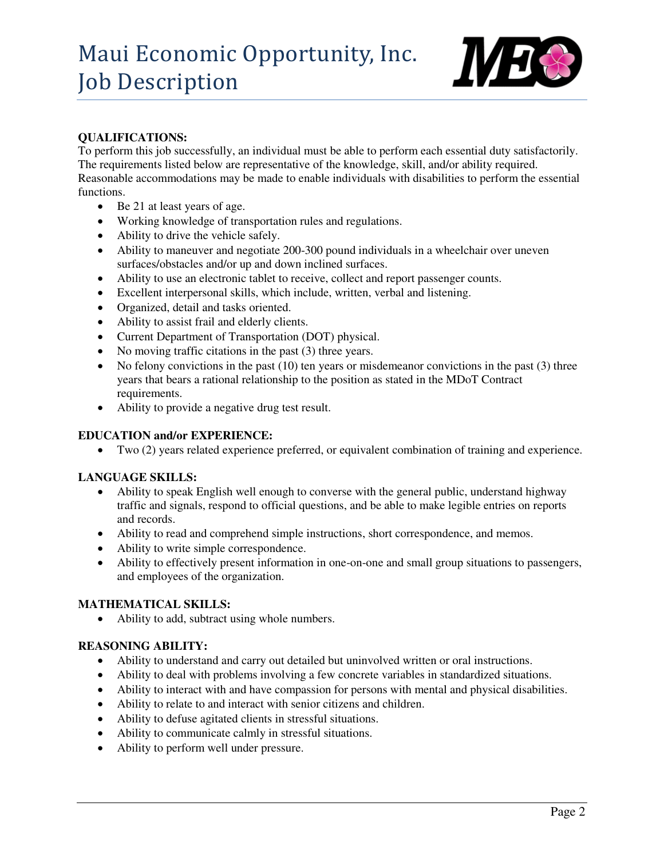

# **QUALIFICATIONS:**

To perform this job successfully, an individual must be able to perform each essential duty satisfactorily. The requirements listed below are representative of the knowledge, skill, and/or ability required. Reasonable accommodations may be made to enable individuals with disabilities to perform the essential functions.

- Be 21 at least years of age.
- Working knowledge of transportation rules and regulations.
- Ability to drive the vehicle safely.
- Ability to maneuver and negotiate 200-300 pound individuals in a wheelchair over uneven surfaces/obstacles and/or up and down inclined surfaces.
- Ability to use an electronic tablet to receive, collect and report passenger counts.
- Excellent interpersonal skills, which include, written, verbal and listening.
- Organized, detail and tasks oriented.
- Ability to assist frail and elderly clients.
- Current Department of Transportation (DOT) physical.
- No moving traffic citations in the past (3) three years.
- $\bullet$  No felony convictions in the past (10) ten years or misdemeanor convictions in the past (3) three years that bears a rational relationship to the position as stated in the MDoT Contract requirements.
- Ability to provide a negative drug test result.

#### **EDUCATION and/or EXPERIENCE:**

Two (2) years related experience preferred, or equivalent combination of training and experience.

#### **LANGUAGE SKILLS:**

- Ability to speak English well enough to converse with the general public, understand highway traffic and signals, respond to official questions, and be able to make legible entries on reports and records.
- Ability to read and comprehend simple instructions, short correspondence, and memos.
- Ability to write simple correspondence.
- Ability to effectively present information in one-on-one and small group situations to passengers, and employees of the organization.

#### **MATHEMATICAL SKILLS:**

• Ability to add, subtract using whole numbers.

### **REASONING ABILITY:**

- Ability to understand and carry out detailed but uninvolved written or oral instructions.
- Ability to deal with problems involving a few concrete variables in standardized situations.
- Ability to interact with and have compassion for persons with mental and physical disabilities.
- Ability to relate to and interact with senior citizens and children.
- Ability to defuse agitated clients in stressful situations.
- Ability to communicate calmly in stressful situations.
- Ability to perform well under pressure.